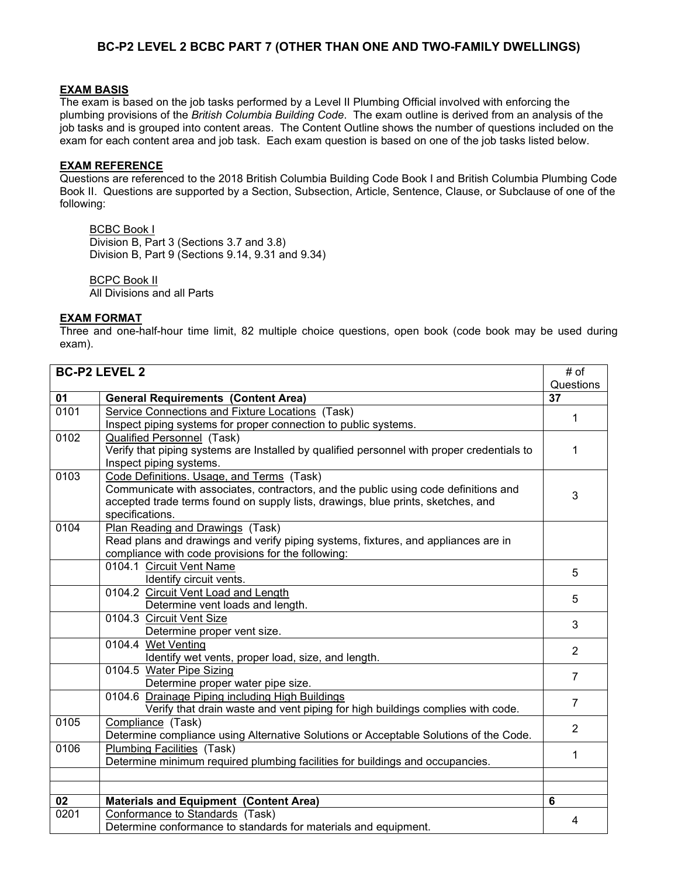### **BC-P2 LEVEL 2 BCBC PART 7 (OTHER THAN ONE AND TWO-FAMILY DWELLINGS)**

#### **EXAM BASIS**

The exam is based on the job tasks performed by a Level II Plumbing Official involved with enforcing the plumbing provisions of the *British Columbia Building Code*. The exam outline is derived from an analysis of the job tasks and is grouped into content areas. The Content Outline shows the number of questions included on the exam for each content area and job task. Each exam question is based on one of the job tasks listed below.

### **EXAM REFERENCE**

Questions are referenced to the 2018 British Columbia Building Code Book I and British Columbia Plumbing Code Book II. Questions are supported by a Section, Subsection, Article, Sentence, Clause, or Subclause of one of the following:

BCBC Book I Division B, Part 3 (Sections 3.7 and 3.8) Division B, Part 9 (Sections 9.14, 9.31 and 9.34)

BCPC Book II All Divisions and all Parts

#### **EXAM FORMAT**

Three and one-half-hour time limit, 82 multiple choice questions, open book (code book may be used during exam).

| <b>BC-P2 LEVEL 2</b> |                                                                                            | # of           |
|----------------------|--------------------------------------------------------------------------------------------|----------------|
|                      |                                                                                            | Questions      |
| 01                   | <b>General Requirements (Content Area)</b>                                                 | 37             |
| 0101                 | Service Connections and Fixture Locations (Task)                                           | 1              |
|                      | Inspect piping systems for proper connection to public systems.                            |                |
| 0102                 | <b>Qualified Personnel (Task)</b>                                                          |                |
|                      | Verify that piping systems are Installed by qualified personnel with proper credentials to | 1              |
|                      | Inspect piping systems.                                                                    |                |
| 0103                 | Code Definitions. Usage, and Terms (Task)                                                  |                |
|                      | Communicate with associates, contractors, and the public using code definitions and        |                |
|                      | accepted trade terms found on supply lists, drawings, blue prints, sketches, and           | 3              |
|                      | specifications.                                                                            |                |
| 0104                 | Plan Reading and Drawings (Task)                                                           |                |
|                      | Read plans and drawings and verify piping systems, fixtures, and appliances are in         |                |
|                      | compliance with code provisions for the following:                                         |                |
|                      | 0104.1 Circuit Vent Name                                                                   | 5              |
|                      | Identify circuit vents.                                                                    |                |
|                      | 0104.2 Circuit Vent Load and Length                                                        | 5              |
|                      | Determine vent loads and length.                                                           |                |
|                      | 0104.3 Circuit Vent Size                                                                   | 3              |
|                      | Determine proper vent size.                                                                |                |
|                      | 0104.4 Wet Venting                                                                         | $\overline{2}$ |
|                      | Identify wet vents, proper load, size, and length.                                         |                |
|                      | 0104.5 Water Pipe Sizing                                                                   | $\overline{7}$ |
|                      | Determine proper water pipe size.                                                          |                |
|                      | 0104.6 Drainage Piping including High Buildings                                            | $\overline{7}$ |
|                      | Verify that drain waste and vent piping for high buildings complies with code.             |                |
| 0105                 | Compliance (Task)                                                                          | $\overline{2}$ |
|                      | Determine compliance using Alternative Solutions or Acceptable Solutions of the Code.      |                |
| 0106                 | Plumbing Facilities (Task)                                                                 | 1              |
|                      | Determine minimum required plumbing facilities for buildings and occupancies.              |                |
|                      |                                                                                            |                |
|                      |                                                                                            |                |
| 02                   | <b>Materials and Equipment (Content Area)</b>                                              | 6              |
| 0201                 | Conformance to Standards (Task)                                                            | 4              |
|                      | Determine conformance to standards for materials and equipment.                            |                |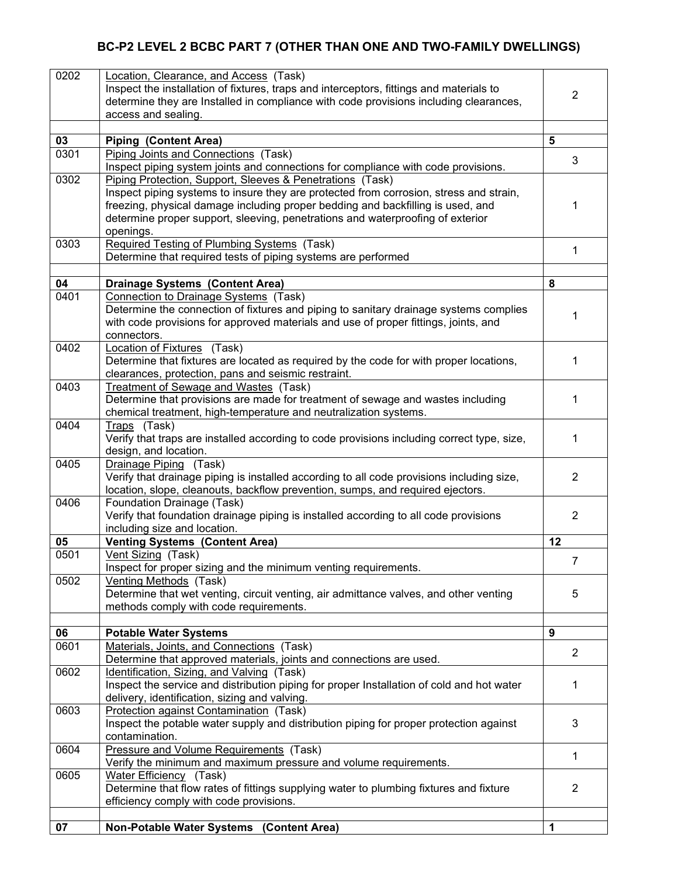# **BC-P2 LEVEL 2 BCBC PART 7 (OTHER THAN ONE AND TWO-FAMILY DWELLINGS)**

| 0202 | Location, Clearance, and Access (Task)                                                     |                |
|------|--------------------------------------------------------------------------------------------|----------------|
|      | Inspect the installation of fixtures, traps and interceptors, fittings and materials to    |                |
|      | determine they are Installed in compliance with code provisions including clearances,      | $\overline{2}$ |
|      | access and sealing.                                                                        |                |
|      |                                                                                            |                |
| 03   | <b>Piping (Content Area)</b>                                                               | 5              |
| 0301 | Piping Joints and Connections (Task)                                                       |                |
|      |                                                                                            | 3              |
|      | Inspect piping system joints and connections for compliance with code provisions.          |                |
| 0302 | Piping Protection, Support, Sleeves & Penetrations (Task)                                  |                |
|      | Inspect piping systems to insure they are protected from corrosion, stress and strain,     |                |
|      | freezing, physical damage including proper bedding and backfilling is used, and            | 1              |
|      | determine proper support, sleeving, penetrations and waterproofing of exterior             |                |
|      | openings.                                                                                  |                |
| 0303 | Required Testing of Plumbing Systems (Task)                                                |                |
|      | Determine that required tests of piping systems are performed                              | 1              |
|      |                                                                                            |                |
| 04   | <b>Drainage Systems (Content Area)</b>                                                     | 8              |
| 0401 |                                                                                            |                |
|      | Connection to Drainage Systems (Task)                                                      |                |
|      | Determine the connection of fixtures and piping to sanitary drainage systems complies      | 1              |
|      | with code provisions for approved materials and use of proper fittings, joints, and        |                |
|      | connectors.                                                                                |                |
| 0402 | Location of Fixtures (Task)                                                                |                |
|      | Determine that fixtures are located as required by the code for with proper locations,     | 1              |
|      | clearances, protection, pans and seismic restraint.                                        |                |
| 0403 | Treatment of Sewage and Wastes (Task)                                                      |                |
|      | Determine that provisions are made for treatment of sewage and wastes including            | 1              |
|      | chemical treatment, high-temperature and neutralization systems.                           |                |
| 0404 | Traps (Task)                                                                               |                |
|      | Verify that traps are installed according to code provisions including correct type, size, | 1              |
|      | design, and location.                                                                      |                |
| 0405 |                                                                                            |                |
|      | Drainage Piping (Task)                                                                     |                |
|      | Verify that drainage piping is installed according to all code provisions including size,  | 2              |
|      | location, slope, cleanouts, backflow prevention, sumps, and required ejectors.             |                |
| 0406 | Foundation Drainage (Task)                                                                 |                |
|      | Verify that foundation drainage piping is installed according to all code provisions       | $\overline{2}$ |
|      | including size and location.                                                               |                |
| 05   | <b>Venting Systems (Content Area)</b>                                                      | 12             |
| 0501 | Vent Sizing (Task)                                                                         |                |
|      | Inspect for proper sizing and the minimum venting requirements.                            | 7              |
| 0502 | Venting Methods (Task)                                                                     |                |
|      | Determine that wet venting, circuit venting, air admittance valves, and other venting      | 5              |
|      | methods comply with code requirements.                                                     |                |
|      |                                                                                            |                |
| 06   | <b>Potable Water Systems</b>                                                               | 9              |
| 0601 |                                                                                            |                |
|      | Materials, Joints, and Connections (Task)                                                  | $\overline{2}$ |
|      | Determine that approved materials, joints and connections are used.                        |                |
| 0602 | Identification, Sizing, and Valving (Task)                                                 |                |
|      | Inspect the service and distribution piping for proper Installation of cold and hot water  | 1              |
|      | delivery, identification, sizing and valving.                                              |                |
| 0603 | Protection against Contamination (Task)                                                    |                |
|      | Inspect the potable water supply and distribution piping for proper protection against     | 3              |
|      | contamination.                                                                             |                |
| 0604 | Pressure and Volume Requirements (Task)                                                    |                |
|      | Verify the minimum and maximum pressure and volume requirements.                           | 1              |
| 0605 | Water Efficiency (Task)                                                                    |                |
|      | Determine that flow rates of fittings supplying water to plumbing fixtures and fixture     | 2              |
|      | efficiency comply with code provisions.                                                    |                |
|      |                                                                                            |                |
|      |                                                                                            |                |
| 07   | <b>Non-Potable Water Systems</b><br>(Content Area)                                         | 1              |